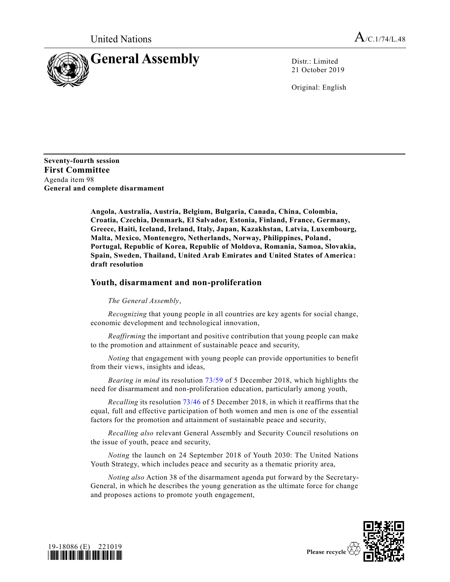

21 October 2019

Original: English

**Seventy-fourth session First Committee** Agenda item 98 **General and complete disarmament**

> **Angola, Australia, Austria, Belgium, Bulgaria, Canada, China, Colombia, Croatia, Czechia, Denmark, El Salvador, Estonia, Finland, France, Germany, Greece, Haiti, Iceland, Ireland, Italy, Japan, Kazakhstan, Latvia, Luxembourg, Malta, Mexico, Montenegro, Netherlands, Norway, Philippines, Poland, Portugal, Republic of Korea, Republic of Moldova, Romania, Samoa, Slovakia, Spain, Sweden, Thailand, United Arab Emirates and United States of America: draft resolution**

## **Youth, disarmament and non-proliferation**

## *The General Assembly*,

*Recognizing* that young people in all countries are key agents for social change, economic development and technological innovation,

*Reaffirming* the important and positive contribution that young people can make to the promotion and attainment of sustainable peace and security,

*Noting* that engagement with young people can provide opportunities to benefit from their views, insights and ideas,

*Bearing in mind* its resolution [73/59](https://undocs.org/en/A/RES/73/59) of 5 December 2018, which highlights the need for disarmament and non-proliferation education, particularly among youth,

*Recalling* its resolution [73/46](https://undocs.org/en/A/RES/73/46) of 5 December 2018, in which it reaffirms that the equal, full and effective participation of both women and men is one of the essential factors for the promotion and attainment of sustainable peace and security,

*Recalling also* relevant General Assembly and Security Council resolutions on the issue of youth, peace and security,

*Noting* the launch on 24 September 2018 of Youth 2030: The United Nations Youth Strategy, which includes peace and security as a thematic priority area,

*Noting also* Action 38 of the disarmament agenda put forward by the Secretary-General, in which he describes the young generation as the ultimate force for change and proposes actions to promote youth engagement,





Please recycle  $\forall$